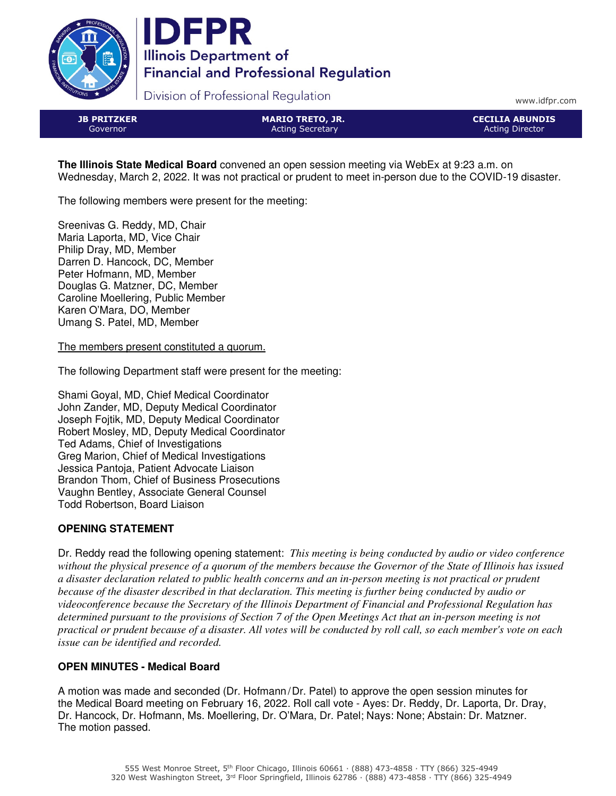



Division of Professional Regulation

www.idfpr.com

JB PRITZKER Governor

MARIO TRETO, JR. Acting Secretary

CECILIA ABUNDIS Acting Director

**The Illinois State Medical Board** convened an open session meeting via WebEx at 9:23 a.m. on Wednesday, March 2, 2022. It was not practical or prudent to meet in-person due to the COVID-19 disaster.

The following members were present for the meeting:

Sreenivas G. Reddy, MD, Chair Maria Laporta, MD, Vice Chair Philip Dray, MD, Member Darren D. Hancock, DC, Member Peter Hofmann, MD, Member Douglas G. Matzner, DC, Member Caroline Moellering, Public Member Karen O'Mara, DO, Member Umang S. Patel, MD, Member

The members present constituted a quorum.

The following Department staff were present for the meeting:

Shami Goyal, MD, Chief Medical Coordinator John Zander, MD, Deputy Medical Coordinator Joseph Fojtik, MD, Deputy Medical Coordinator Robert Mosley, MD, Deputy Medical Coordinator Ted Adams, Chief of Investigations Greg Marion, Chief of Medical Investigations Jessica Pantoja, Patient Advocate Liaison Brandon Thom, Chief of Business Prosecutions Vaughn Bentley, Associate General Counsel Todd Robertson, Board Liaison

### **OPENING STATEMENT**

Dr. Reddy read the following opening statement: *This meeting is being conducted by audio or video conference without the physical presence of a quorum of the members because the Governor of the State of Illinois has issued a disaster declaration related to public health concerns and an in-person meeting is not practical or prudent because of the disaster described in that declaration. This meeting is further being conducted by audio or videoconference because the Secretary of the Illinois Department of Financial and Professional Regulation has determined pursuant to the provisions of Section 7 of the Open Meetings Act that an in-person meeting is not practical or prudent because of a disaster. All votes will be conducted by roll call, so each member's vote on each issue can be identified and recorded.*

# **OPEN MINUTES - Medical Board**

A motion was made and seconded (Dr. Hofmann/Dr. Patel) to approve the open session minutes for the Medical Board meeting on February 16, 2022. Roll call vote - Ayes: Dr. Reddy, Dr. Laporta, Dr. Dray, Dr. Hancock, Dr. Hofmann, Ms. Moellering, Dr. O'Mara, Dr. Patel; Nays: None; Abstain: Dr. Matzner. The motion passed.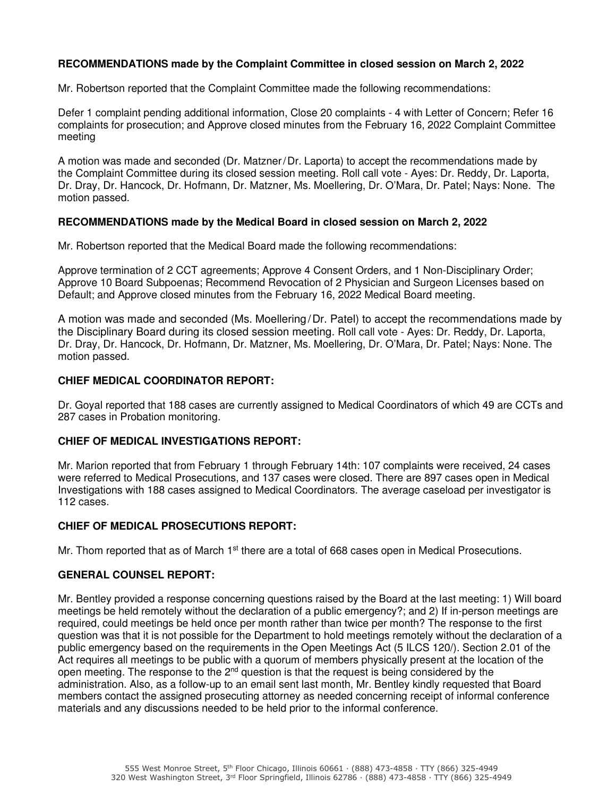## **RECOMMENDATIONS made by the Complaint Committee in closed session on March 2, 2022**

Mr. Robertson reported that the Complaint Committee made the following recommendations:

Defer 1 complaint pending additional information, Close 20 complaints - 4 with Letter of Concern; Refer 16 complaints for prosecution; and Approve closed minutes from the February 16, 2022 Complaint Committee meeting

A motion was made and seconded (Dr. Matzner/Dr. Laporta) to accept the recommendations made by the Complaint Committee during its closed session meeting. Roll call vote - Ayes: Dr. Reddy, Dr. Laporta, Dr. Dray, Dr. Hancock, Dr. Hofmann, Dr. Matzner, Ms. Moellering, Dr. O'Mara, Dr. Patel; Nays: None. The motion passed.

### **RECOMMENDATIONS made by the Medical Board in closed session on March 2, 2022**

Mr. Robertson reported that the Medical Board made the following recommendations:

Approve termination of 2 CCT agreements; Approve 4 Consent Orders, and 1 Non-Disciplinary Order; Approve 10 Board Subpoenas; Recommend Revocation of 2 Physician and Surgeon Licenses based on Default; and Approve closed minutes from the February 16, 2022 Medical Board meeting.

A motion was made and seconded (Ms. Moellering/Dr. Patel) to accept the recommendations made by the Disciplinary Board during its closed session meeting. Roll call vote - Ayes: Dr. Reddy, Dr. Laporta, Dr. Dray, Dr. Hancock, Dr. Hofmann, Dr. Matzner, Ms. Moellering, Dr. O'Mara, Dr. Patel; Nays: None. The motion passed.

### **CHIEF MEDICAL COORDINATOR REPORT:**

Dr. Goyal reported that 188 cases are currently assigned to Medical Coordinators of which 49 are CCTs and 287 cases in Probation monitoring.

#### **CHIEF OF MEDICAL INVESTIGATIONS REPORT:**

Mr. Marion reported that from February 1 through February 14th: 107 complaints were received, 24 cases were referred to Medical Prosecutions, and 137 cases were closed. There are 897 cases open in Medical Investigations with 188 cases assigned to Medical Coordinators. The average caseload per investigator is 112 cases.

### **CHIEF OF MEDICAL PROSECUTIONS REPORT:**

Mr. Thom reported that as of March  $1<sup>st</sup>$  there are a total of 668 cases open in Medical Prosecutions.

### **GENERAL COUNSEL REPORT:**

Mr. Bentley provided a response concerning questions raised by the Board at the last meeting: 1) Will board meetings be held remotely without the declaration of a public emergency?; and 2) If in-person meetings are required, could meetings be held once per month rather than twice per month? The response to the first question was that it is not possible for the Department to hold meetings remotely without the declaration of a public emergency based on the requirements in the Open Meetings Act (5 ILCS 120/). Section 2.01 of the Act requires all meetings to be public with a quorum of members physically present at the location of the open meeting. The response to the  $2<sup>nd</sup>$  question is that the request is being considered by the administration. Also, as a follow-up to an email sent last month, Mr. Bentley kindly requested that Board members contact the assigned prosecuting attorney as needed concerning receipt of informal conference materials and any discussions needed to be held prior to the informal conference.